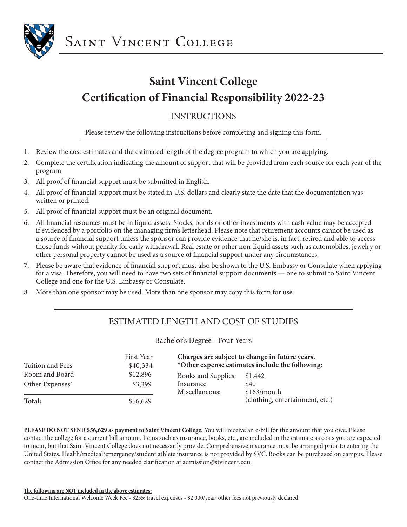

## **Saint Vincent College Certification of Financial Responsibility 2022-23**

#### INSTRUCTIONS

Please review the following instructions before completing and signing this form.

- 1. Review the cost estimates and the estimated length of the degree program to which you are applying.
- 2. Complete the certification indicating the amount of support that will be provided from each source for each year of the program.
- 3. All proof of financial support must be submitted in English.
- 4. All proof of financial support must be stated in U.S. dollars and clearly state the date that the documentation was written or printed.
- 5. All proof of financial support must be an original document.
- 6. All financial resources must be in liquid assets. Stocks, bonds or other investments with cash value may be accepted if evidenced by a portfolio on the managing firm's letterhead. Please note that retirement accounts cannot be used as a source of financial support unless the sponsor can provide evidence that he/she is, in fact, retired and able to access those funds without penalty for early withdrawal. Real estate or other non-liquid assets such as automobiles, jewelry or other personal property cannot be used as a source of financial support under any circumstances.
- 7. Please be aware that evidence of financial support must also be shown to the U.S. Embassy or Consulate when applying for a visa. Therefore, you will need to have two sets of financial support documents — one to submit to Saint Vincent College and one for the U.S. Embassy or Consulate.
- 8. More than one sponsor may be used. More than one sponsor may copy this form for use.

### ESTIMATED LENGTH AND COST OF STUDIES

Bachelor's Degree - Four Years

| Tuition and Fees | <b>First Year</b><br>\$40,334 |                             | Charges are subject to change in future years.<br>*Other expense estimates include the following: |
|------------------|-------------------------------|-----------------------------|---------------------------------------------------------------------------------------------------|
| Room and Board   | \$12,896                      | Books and Supplies:         | \$1,442                                                                                           |
| Other Expenses*  | \$3,399                       | Insurance<br>Miscellaneous: | \$40<br>\$163/month                                                                               |
| Total:           | \$56,629                      |                             | (clothing, entertainment, etc.)                                                                   |

**PLEASE DO NOT SEND \$56,629 as payment to Saint Vincent College.** You will receive an e-bill for the amount that you owe. Please contact the college for a current bill amount. Items such as insurance, books, etc., are included in the estimate as costs you are expected to incur, but that Saint Vincent College does not necessarily provide. Comprehensive insurance must be arranged prior to entering the United States. Health/medical/emergency/student athlete insurance is not provided by SVC. Books can be purchased on campus. Please contact the Admission Office for any needed clarification at admission@stvincent.edu.

**The following are NOT included in the above estimates:**

One-time International Welcome Week Fee - \$255; travel expenses - \$2,000/year; other fees not previously declared.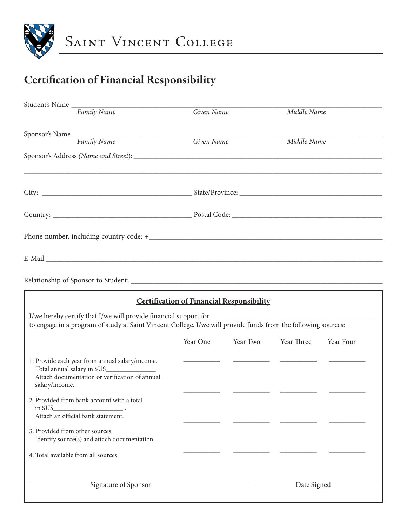

# Certification of Financial Responsibility

| Student's Name                                                                                                                                                    |            |                                                  |             |           |
|-------------------------------------------------------------------------------------------------------------------------------------------------------------------|------------|--------------------------------------------------|-------------|-----------|
| Family Name                                                                                                                                                       | Given Name |                                                  | Middle Name |           |
| Sponsor's Name Family Name                                                                                                                                        | Given Name |                                                  | Middle Name |           |
|                                                                                                                                                                   |            |                                                  |             |           |
|                                                                                                                                                                   |            |                                                  |             |           |
|                                                                                                                                                                   |            |                                                  |             |           |
|                                                                                                                                                                   |            |                                                  |             |           |
|                                                                                                                                                                   |            |                                                  |             |           |
|                                                                                                                                                                   |            |                                                  |             |           |
|                                                                                                                                                                   |            |                                                  |             |           |
| <b>Certification of Financial Responsibility</b><br>to engage in a program of study at Saint Vincent College. I/we will provide funds from the following sources: |            |                                                  |             |           |
|                                                                                                                                                                   | Year One   | Year Two                                         | Year Three  | Year Four |
| 1. Provide each year from annual salary/income.<br>Total annual salary in \$US_______________<br>Attach documentation or verification of annual<br>salary/income. |            | <u> 1989 - Alban Store, amerikansk politiker</u> |             |           |
| 2. Provided from bank account with a total<br>in \$US<br>Attach an official bank statement.                                                                       |            |                                                  |             |           |
| 3. Provided from other sources.<br>Identify source(s) and attach documentation.                                                                                   |            |                                                  |             |           |
| 4. Total available from all sources:                                                                                                                              |            |                                                  |             |           |
| Signature of Sponsor                                                                                                                                              |            |                                                  | Date Signed |           |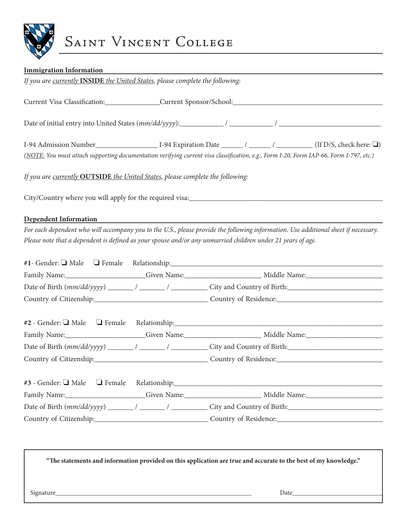

# SAINT VINCENT COLLEGE

| <b>Immigration Information</b>                                                       |
|--------------------------------------------------------------------------------------|
| If you are currently <b>INSIDE</b> the United States, please complete the following: |

Current Visa Classification:\_\_\_\_\_\_\_\_\_\_\_\_\_\_\_Current Sponsor/School:\_\_\_\_\_\_\_\_\_\_\_\_\_\_\_\_\_\_\_\_\_\_\_\_\_\_\_\_\_\_\_\_\_\_\_\_\_\_\_\_\_

Date of initial entry into United States (*mm/dd/yyyy*):\_\_\_\_\_\_\_\_\_\_\_\_ / \_\_\_\_\_\_\_\_\_\_\_\_ / \_\_\_\_\_\_\_\_\_\_\_\_\_\_\_\_\_\_\_\_\_\_\_\_\_\_\_\_

I-94 Admission Number\_\_\_\_\_\_\_\_\_\_\_\_\_\_\_\_\_\_\_\_ I-94 Expiration Date \_\_\_\_\_\_\_ / \_\_\_\_\_\_\_ / \_\_\_\_\_\_\_ (If D/S, check here:  $\Box$ )

*(NOTE: You must attach supporting documentation verifying current visa classification, e.g., Form I-20, Form IAP-66, Form I-797, etc.)*

*If you are currently* **OUTSIDE** *the United States, please complete the following:*

City/Country where you will apply for the required visa:\_\_\_\_\_\_\_\_\_\_\_\_\_\_\_\_\_\_\_\_\_\_\_\_\_\_\_\_\_\_\_\_\_\_\_\_\_\_\_\_\_\_\_\_\_\_\_\_\_\_\_\_\_

#### **Dependent Information**

*For each dependent who will accompany you to the U.S., please provide the following information. Use additional sheet if necessary. Please note that a dependent is defined as your spouse and/or any unmarried children under 21 years of age.*

|             |            | Family Name: Civen Name: Contact Music Middle Name: Middle Name:                                                                                                                                                               |  |
|-------------|------------|--------------------------------------------------------------------------------------------------------------------------------------------------------------------------------------------------------------------------------|--|
|             |            |                                                                                                                                                                                                                                |  |
|             |            |                                                                                                                                                                                                                                |  |
|             |            | #2 - Gender: I Male I Female Relationship: \\connection \\connection \\connection \\connection \\connection \\connection \\connection \\connection \\connection \\connection \\connection \\connection \\connection \\connecti |  |
|             |            |                                                                                                                                                                                                                                |  |
|             |            |                                                                                                                                                                                                                                |  |
|             |            |                                                                                                                                                                                                                                |  |
|             |            |                                                                                                                                                                                                                                |  |
| Family Name | Given Name | Middle Name                                                                                                                                                                                                                    |  |

| Family Name:                 | Given Name: | Middle Name:               |
|------------------------------|-------------|----------------------------|
| Date of Birth $(mm/dd/yyyy)$ |             | City and Country of Birth: |
| Country of Citizenship:      |             | Country of Residence:      |

**"The statements and information provided on this application are true and accurate to the best of my knowledge."**

Signature\_\_\_\_\_\_\_\_\_\_\_\_\_\_\_\_\_\_\_\_\_\_\_\_\_\_\_\_\_\_\_\_\_\_\_\_\_\_\_\_\_\_\_\_\_\_\_\_\_\_\_\_\_\_\_\_\_\_\_ Date\_\_\_\_\_\_\_\_\_\_\_\_\_\_\_\_\_\_\_\_\_\_\_\_\_\_\_